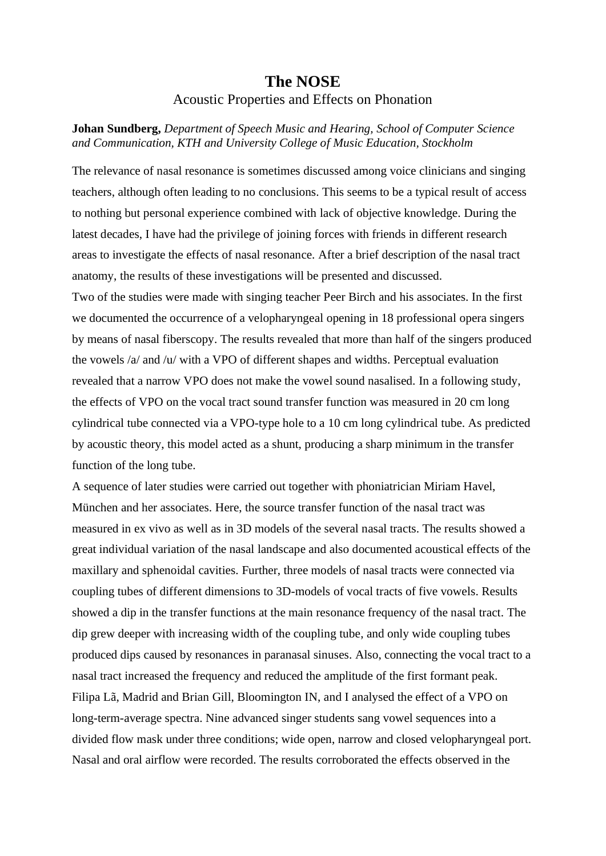## **The NOSE** Acoustic Properties and Effects on Phonation

**Johan Sundberg,** *Department of Speech Music and Hearing, School of Computer Science and Communication, KTH and University College of Music Education, Stockholm*

The relevance of nasal resonance is sometimes discussed among voice clinicians and singing teachers, although often leading to no conclusions. This seems to be a typical result of access to nothing but personal experience combined with lack of objective knowledge. During the latest decades, I have had the privilege of joining forces with friends in different research areas to investigate the effects of nasal resonance. After a brief description of the nasal tract anatomy, the results of these investigations will be presented and discussed.

Two of the studies were made with singing teacher Peer Birch and his associates. In the first we documented the occurrence of a velopharyngeal opening in 18 professional opera singers by means of nasal fiberscopy. The results revealed that more than half of the singers produced the vowels /a/ and /u/ with a VPO of different shapes and widths. Perceptual evaluation revealed that a narrow VPO does not make the vowel sound nasalised. In a following study, the effects of VPO on the vocal tract sound transfer function was measured in 20 cm long cylindrical tube connected via a VPO-type hole to a 10 cm long cylindrical tube. As predicted by acoustic theory, this model acted as a shunt, producing a sharp minimum in the transfer function of the long tube.

A sequence of later studies were carried out together with phoniatrician Miriam Havel, München and her associates. Here, the source transfer function of the nasal tract was measured in ex vivo as well as in 3D models of the several nasal tracts. The results showed a great individual variation of the nasal landscape and also documented acoustical effects of the maxillary and sphenoidal cavities. Further, three models of nasal tracts were connected via coupling tubes of different dimensions to 3D-models of vocal tracts of five vowels. Results showed a dip in the transfer functions at the main resonance frequency of the nasal tract. The dip grew deeper with increasing width of the coupling tube, and only wide coupling tubes produced dips caused by resonances in paranasal sinuses. Also, connecting the vocal tract to a nasal tract increased the frequency and reduced the amplitude of the first formant peak. Filipa Lã, Madrid and Brian Gill, Bloomington IN, and I analysed the effect of a VPO on long-term-average spectra. Nine advanced singer students sang vowel sequences into a divided flow mask under three conditions; wide open, narrow and closed velopharyngeal port. Nasal and oral airflow were recorded. The results corroborated the effects observed in the